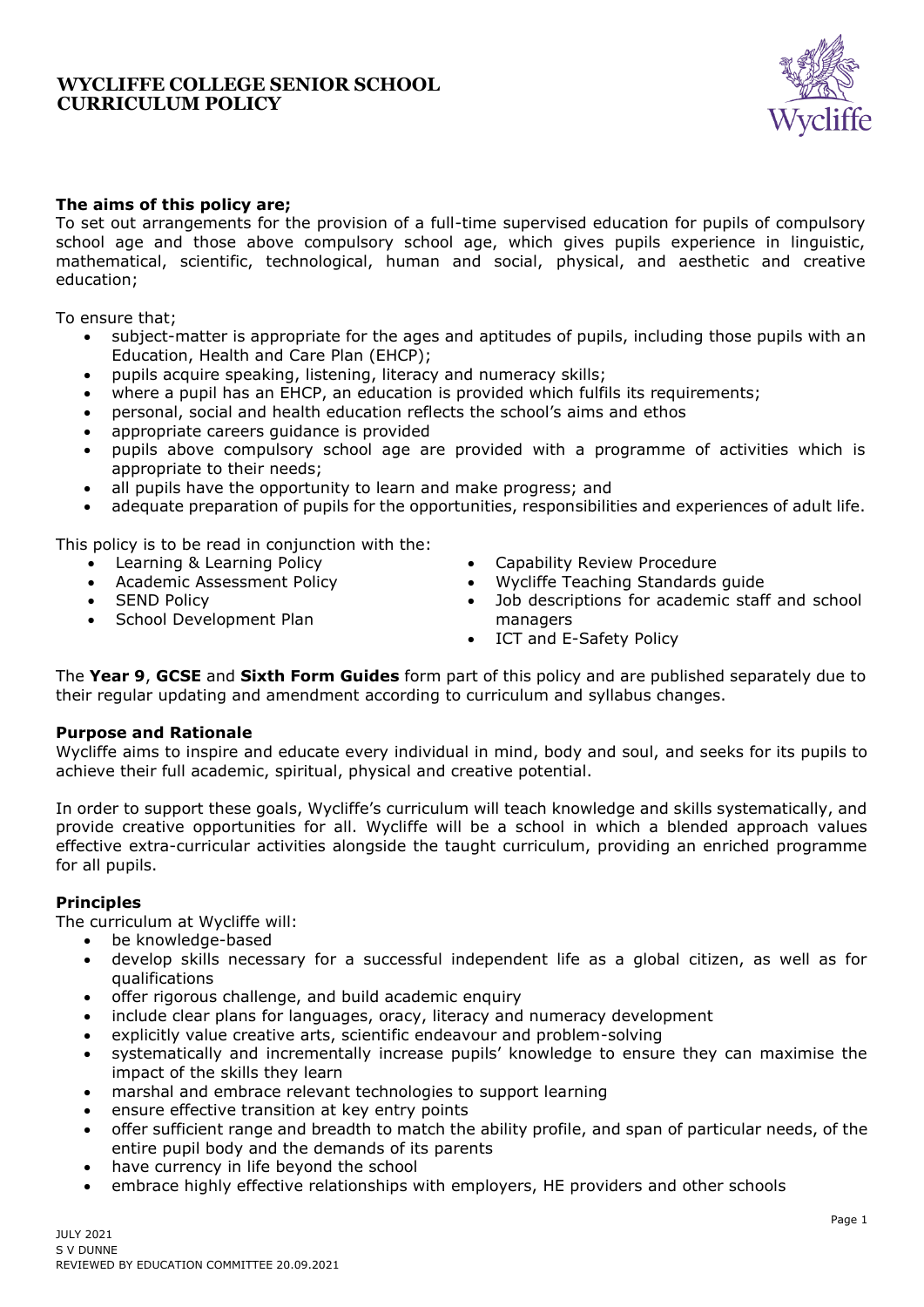

# **The aims of this policy are;**

To set out arrangements for the provision of a full-time supervised education for pupils of compulsory school age and those above compulsory school age, which gives pupils experience in linguistic, mathematical, scientific, technological, human and social, physical, and aesthetic and creative education;

To ensure that;

- subject-matter is appropriate for the ages and aptitudes of pupils, including those pupils with an Education, Health and Care Plan (EHCP);
- pupils acquire speaking, listening, literacy and numeracy skills;
- where a pupil has an EHCP, an education is provided which fulfils its requirements;
- personal, social and health education reflects the school's aims and ethos
- appropriate careers guidance is provided
- pupils above compulsory school age are provided with a programme of activities which is appropriate to their needs;
- all pupils have the opportunity to learn and make progress; and
- adequate preparation of pupils for the opportunities, responsibilities and experiences of adult life.

This policy is to be read in conjunction with the:

- Learning & Learning Policy
- Academic Assessment Policy
- **SEND Policy**
- School Development Plan
- Capability Review Procedure
- Wycliffe Teaching Standards guide
- Job descriptions for academic staff and school managers
- ICT and E-Safety Policy

The **Year 9**, **GCSE** and **Sixth Form Guides** form part of this policy and are published separately due to their regular updating and amendment according to curriculum and syllabus changes.

### **Purpose and Rationale**

Wycliffe aims to inspire and educate every individual in mind, body and soul, and seeks for its pupils to achieve their full academic, spiritual, physical and creative potential.

In order to support these goals, Wycliffe's curriculum will teach knowledge and skills systematically, and provide creative opportunities for all. Wycliffe will be a school in which a blended approach values effective extra-curricular activities alongside the taught curriculum, providing an enriched programme for all pupils.

### **Principles**

The curriculum at Wycliffe will:

- be knowledge-based
- develop skills necessary for a successful independent life as a global citizen, as well as for qualifications
- offer rigorous challenge, and build academic enquiry
- include clear plans for languages, oracy, literacy and numeracy development
- explicitly value creative arts, scientific endeavour and problem-solving
- systematically and incrementally increase pupils' knowledge to ensure they can maximise the impact of the skills they learn
- marshal and embrace relevant technologies to support learning
- ensure effective transition at key entry points
- offer sufficient range and breadth to match the ability profile, and span of particular needs, of the entire pupil body and the demands of its parents
- have currency in life beyond the school
- embrace highly effective relationships with employers, HE providers and other schools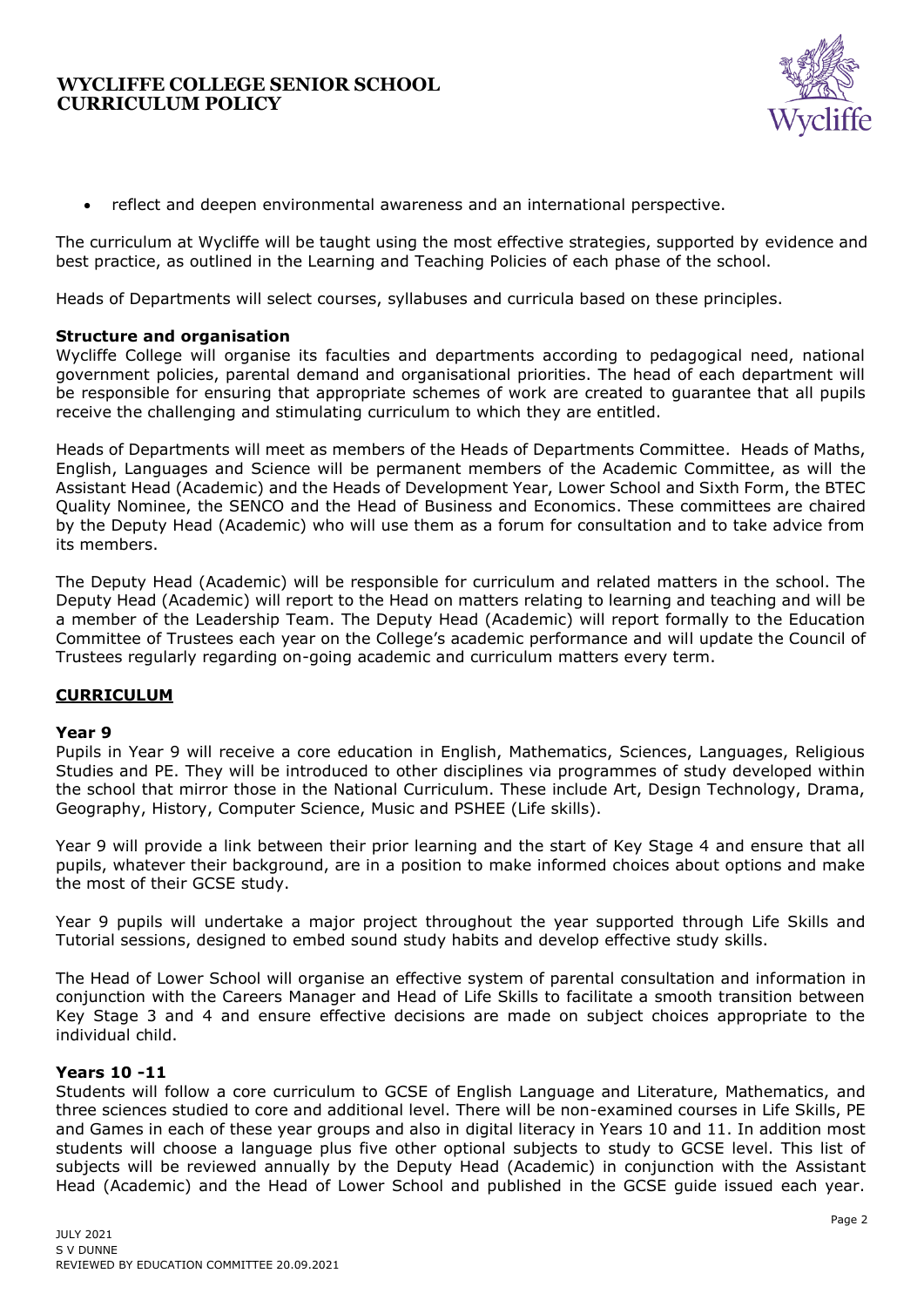

• reflect and deepen environmental awareness and an international perspective.

The curriculum at Wycliffe will be taught using the most effective strategies, supported by evidence and best practice, as outlined in the Learning and Teaching Policies of each phase of the school.

Heads of Departments will select courses, syllabuses and curricula based on these principles.

#### **Structure and organisation**

Wycliffe College will organise its faculties and departments according to pedagogical need, national government policies, parental demand and organisational priorities. The head of each department will be responsible for ensuring that appropriate schemes of work are created to guarantee that all pupils receive the challenging and stimulating curriculum to which they are entitled.

Heads of Departments will meet as members of the Heads of Departments Committee. Heads of Maths, English, Languages and Science will be permanent members of the Academic Committee, as will the Assistant Head (Academic) and the Heads of Development Year, Lower School and Sixth Form, the BTEC Quality Nominee, the SENCO and the Head of Business and Economics. These committees are chaired by the Deputy Head (Academic) who will use them as a forum for consultation and to take advice from its members.

The Deputy Head (Academic) will be responsible for curriculum and related matters in the school. The Deputy Head (Academic) will report to the Head on matters relating to learning and teaching and will be a member of the Leadership Team. The Deputy Head (Academic) will report formally to the Education Committee of Trustees each year on the College's academic performance and will update the Council of Trustees regularly regarding on-going academic and curriculum matters every term.

### **CURRICULUM**

#### **Year 9**

Pupils in Year 9 will receive a core education in English, Mathematics, Sciences, Languages, Religious Studies and PE. They will be introduced to other disciplines via programmes of study developed within the school that mirror those in the National Curriculum. These include Art, Design Technology, Drama, Geography, History, Computer Science, Music and PSHEE (Life skills).

Year 9 will provide a link between their prior learning and the start of Key Stage 4 and ensure that all pupils, whatever their background, are in a position to make informed choices about options and make the most of their GCSE study.

Year 9 pupils will undertake a major project throughout the year supported through Life Skills and Tutorial sessions, designed to embed sound study habits and develop effective study skills.

The Head of Lower School will organise an effective system of parental consultation and information in conjunction with the Careers Manager and Head of Life Skills to facilitate a smooth transition between Key Stage 3 and 4 and ensure effective decisions are made on subject choices appropriate to the individual child.

### **Years 10 -11**

Students will follow a core curriculum to GCSE of English Language and Literature, Mathematics, and three sciences studied to core and additional level. There will be non-examined courses in Life Skills, PE and Games in each of these year groups and also in digital literacy in Years 10 and 11. In addition most students will choose a language plus five other optional subjects to study to GCSE level. This list of subjects will be reviewed annually by the Deputy Head (Academic) in conjunction with the Assistant Head (Academic) and the Head of Lower School and published in the GCSE guide issued each year.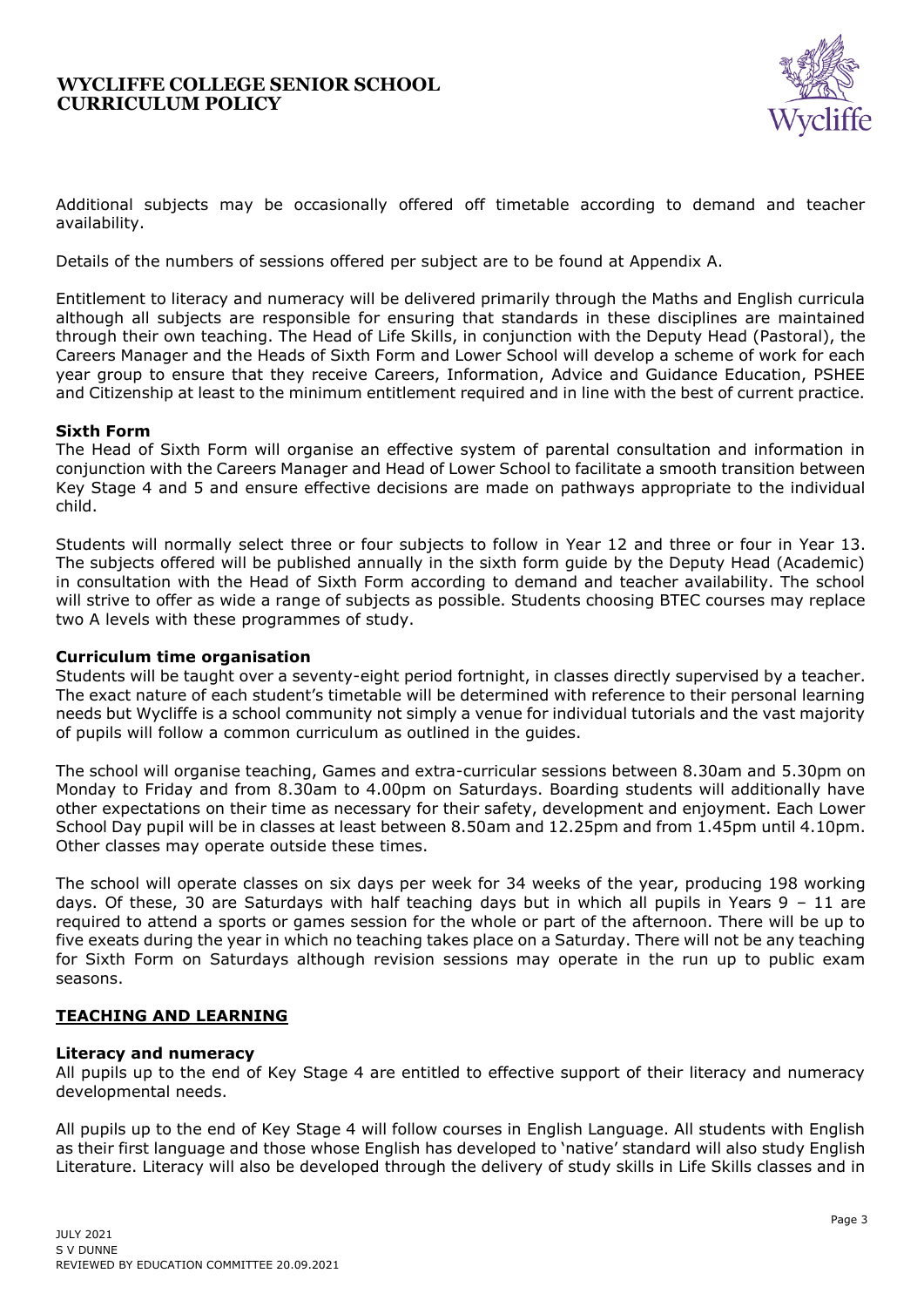

Additional subjects may be occasionally offered off timetable according to demand and teacher availability.

Details of the numbers of sessions offered per subject are to be found at Appendix A.

Entitlement to literacy and numeracy will be delivered primarily through the Maths and English curricula although all subjects are responsible for ensuring that standards in these disciplines are maintained through their own teaching. The Head of Life Skills, in conjunction with the Deputy Head (Pastoral), the Careers Manager and the Heads of Sixth Form and Lower School will develop a scheme of work for each year group to ensure that they receive Careers, Information, Advice and Guidance Education, PSHEE and Citizenship at least to the minimum entitlement required and in line with the best of current practice.

### **Sixth Form**

The Head of Sixth Form will organise an effective system of parental consultation and information in conjunction with the Careers Manager and Head of Lower School to facilitate a smooth transition between Key Stage 4 and 5 and ensure effective decisions are made on pathways appropriate to the individual child.

Students will normally select three or four subjects to follow in Year 12 and three or four in Year 13. The subjects offered will be published annually in the sixth form guide by the Deputy Head (Academic) in consultation with the Head of Sixth Form according to demand and teacher availability. The school will strive to offer as wide a range of subjects as possible. Students choosing BTEC courses may replace two A levels with these programmes of study.

### **Curriculum time organisation**

Students will be taught over a seventy-eight period fortnight, in classes directly supervised by a teacher. The exact nature of each student's timetable will be determined with reference to their personal learning needs but Wycliffe is a school community not simply a venue for individual tutorials and the vast majority of pupils will follow a common curriculum as outlined in the guides.

The school will organise teaching, Games and extra-curricular sessions between 8.30am and 5.30pm on Monday to Friday and from 8.30am to 4.00pm on Saturdays. Boarding students will additionally have other expectations on their time as necessary for their safety, development and enjoyment. Each Lower School Day pupil will be in classes at least between 8.50am and 12.25pm and from 1.45pm until 4.10pm. Other classes may operate outside these times.

The school will operate classes on six days per week for 34 weeks of the year, producing 198 working days. Of these, 30 are Saturdays with half teaching days but in which all pupils in Years 9 – 11 are required to attend a sports or games session for the whole or part of the afternoon. There will be up to five exeats during the year in which no teaching takes place on a Saturday. There will not be any teaching for Sixth Form on Saturdays although revision sessions may operate in the run up to public exam seasons.

# **TEACHING AND LEARNING**

### **Literacy and numeracy**

All pupils up to the end of Key Stage 4 are entitled to effective support of their literacy and numeracy developmental needs.

All pupils up to the end of Key Stage 4 will follow courses in English Language. All students with English as their first language and those whose English has developed to 'native' standard will also study English Literature. Literacy will also be developed through the delivery of study skills in Life Skills classes and in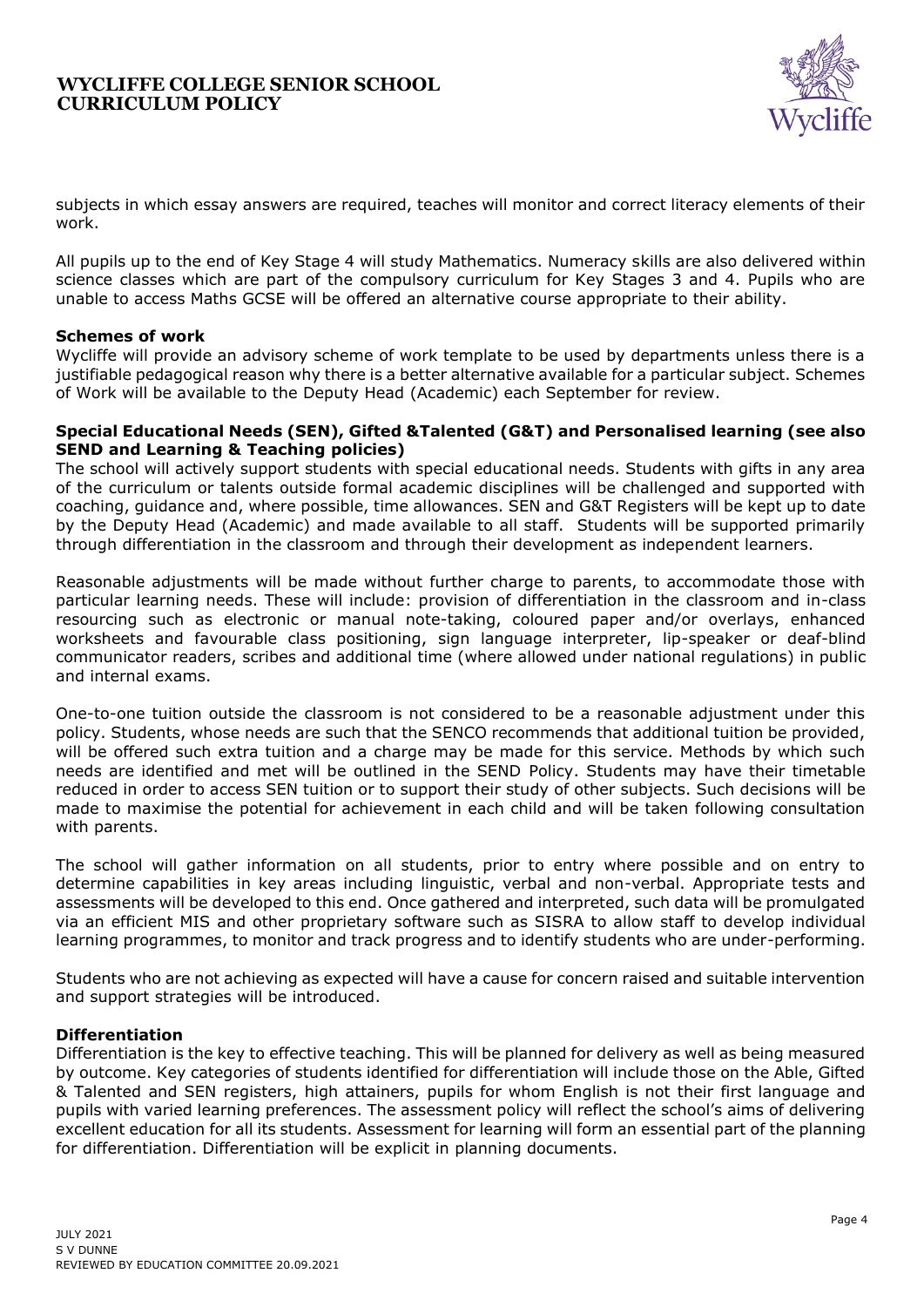

subjects in which essay answers are required, teaches will monitor and correct literacy elements of their work.

All pupils up to the end of Key Stage 4 will study Mathematics. Numeracy skills are also delivered within science classes which are part of the compulsory curriculum for Key Stages 3 and 4. Pupils who are unable to access Maths GCSE will be offered an alternative course appropriate to their ability.

### **Schemes of work**

Wycliffe will provide an advisory scheme of work template to be used by departments unless there is a justifiable pedagogical reason why there is a better alternative available for a particular subject. Schemes of Work will be available to the Deputy Head (Academic) each September for review.

#### **Special Educational Needs (SEN), Gifted &Talented (G&T) and Personalised learning (see also SEND and Learning & Teaching policies)**

The school will actively support students with special educational needs. Students with gifts in any area of the curriculum or talents outside formal academic disciplines will be challenged and supported with coaching, guidance and, where possible, time allowances. SEN and G&T Registers will be kept up to date by the Deputy Head (Academic) and made available to all staff. Students will be supported primarily through differentiation in the classroom and through their development as independent learners.

Reasonable adjustments will be made without further charge to parents, to accommodate those with particular learning needs. These will include: provision of differentiation in the classroom and in-class resourcing such as electronic or manual note-taking, coloured paper and/or overlays, enhanced worksheets and favourable class positioning, sign language interpreter, lip-speaker or deaf-blind communicator readers, scribes and additional time (where allowed under national regulations) in public and internal exams.

One-to-one tuition outside the classroom is not considered to be a reasonable adjustment under this policy. Students, whose needs are such that the SENCO recommends that additional tuition be provided, will be offered such extra tuition and a charge may be made for this service. Methods by which such needs are identified and met will be outlined in the SEND Policy. Students may have their timetable reduced in order to access SEN tuition or to support their study of other subjects. Such decisions will be made to maximise the potential for achievement in each child and will be taken following consultation with parents.

The school will gather information on all students, prior to entry where possible and on entry to determine capabilities in key areas including linguistic, verbal and non-verbal. Appropriate tests and assessments will be developed to this end. Once gathered and interpreted, such data will be promulgated via an efficient MIS and other proprietary software such as SISRA to allow staff to develop individual learning programmes, to monitor and track progress and to identify students who are under-performing.

Students who are not achieving as expected will have a cause for concern raised and suitable intervention and support strategies will be introduced.

### **Differentiation**

Differentiation is the key to effective teaching. This will be planned for delivery as well as being measured by outcome. Key categories of students identified for differentiation will include those on the Able, Gifted & Talented and SEN registers, high attainers, pupils for whom English is not their first language and pupils with varied learning preferences. The assessment policy will reflect the school's aims of delivering excellent education for all its students. Assessment for learning will form an essential part of the planning for differentiation. Differentiation will be explicit in planning documents.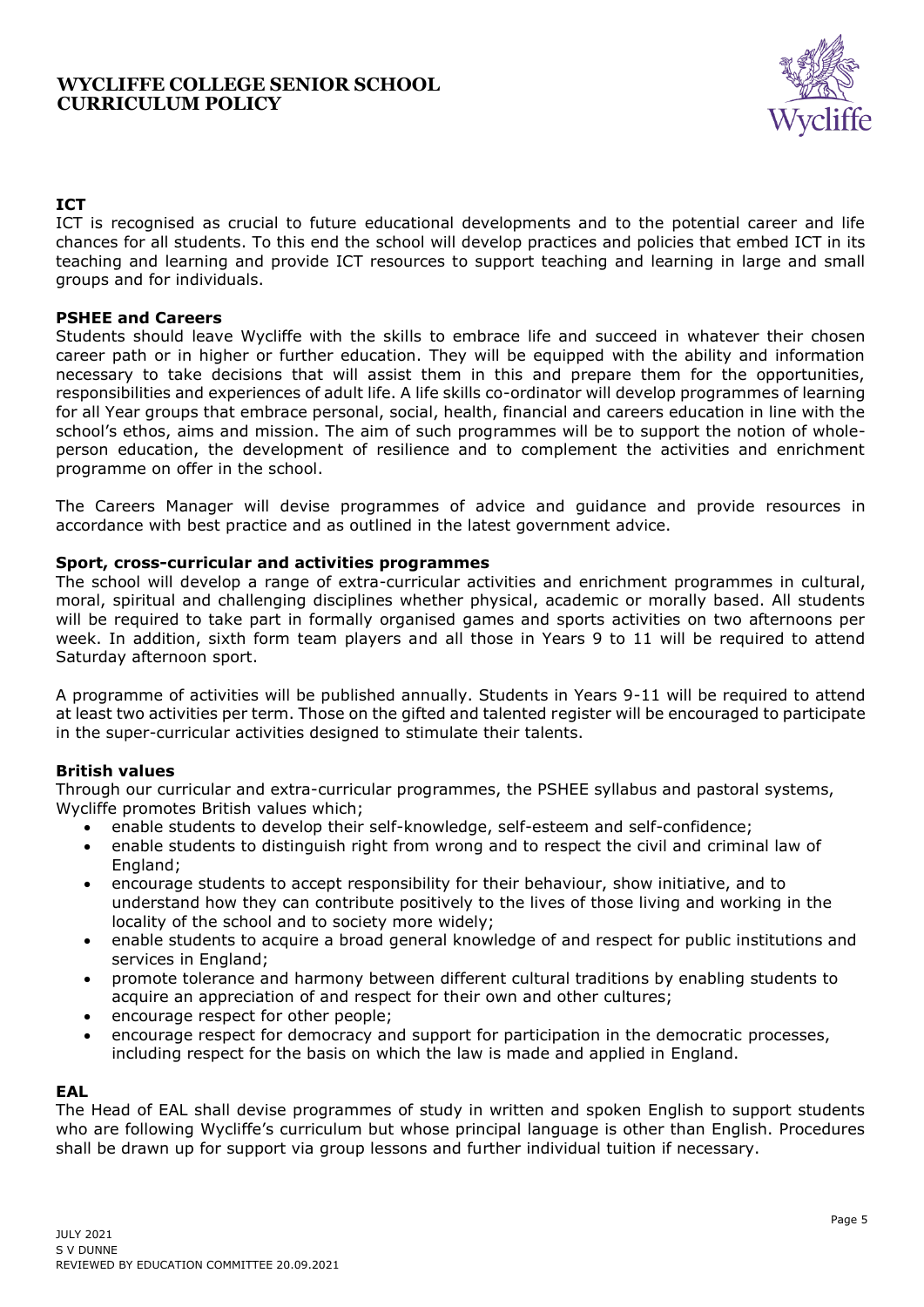

# **ICT**

ICT is recognised as crucial to future educational developments and to the potential career and life chances for all students. To this end the school will develop practices and policies that embed ICT in its teaching and learning and provide ICT resources to support teaching and learning in large and small groups and for individuals.

#### **PSHEE and Careers**

Students should leave Wycliffe with the skills to embrace life and succeed in whatever their chosen career path or in higher or further education. They will be equipped with the ability and information necessary to take decisions that will assist them in this and prepare them for the opportunities, responsibilities and experiences of adult life. A life skills co-ordinator will develop programmes of learning for all Year groups that embrace personal, social, health, financial and careers education in line with the school's ethos, aims and mission. The aim of such programmes will be to support the notion of wholeperson education, the development of resilience and to complement the activities and enrichment programme on offer in the school.

The Careers Manager will devise programmes of advice and guidance and provide resources in accordance with best practice and as outlined in the latest government advice.

#### **Sport, cross-curricular and activities programmes**

The school will develop a range of extra-curricular activities and enrichment programmes in cultural, moral, spiritual and challenging disciplines whether physical, academic or morally based. All students will be required to take part in formally organised games and sports activities on two afternoons per week. In addition, sixth form team players and all those in Years 9 to 11 will be required to attend Saturday afternoon sport.

A programme of activities will be published annually. Students in Years 9-11 will be required to attend at least two activities per term. Those on the gifted and talented register will be encouraged to participate in the super-curricular activities designed to stimulate their talents.

#### **British values**

Through our curricular and extra-curricular programmes, the PSHEE syllabus and pastoral systems, Wycliffe promotes British values which;

- enable students to develop their self-knowledge, self-esteem and self-confidence;
- enable students to distinguish right from wrong and to respect the civil and criminal law of England;
- encourage students to accept responsibility for their behaviour, show initiative, and to understand how they can contribute positively to the lives of those living and working in the locality of the school and to society more widely;
- enable students to acquire a broad general knowledge of and respect for public institutions and services in England;
- promote tolerance and harmony between different cultural traditions by enabling students to acquire an appreciation of and respect for their own and other cultures;
- encourage respect for other people;
- encourage respect for democracy and support for participation in the democratic processes, including respect for the basis on which the law is made and applied in England.

### **EAL**

The Head of EAL shall devise programmes of study in written and spoken English to support students who are following Wycliffe's curriculum but whose principal language is other than English. Procedures shall be drawn up for support via group lessons and further individual tuition if necessary.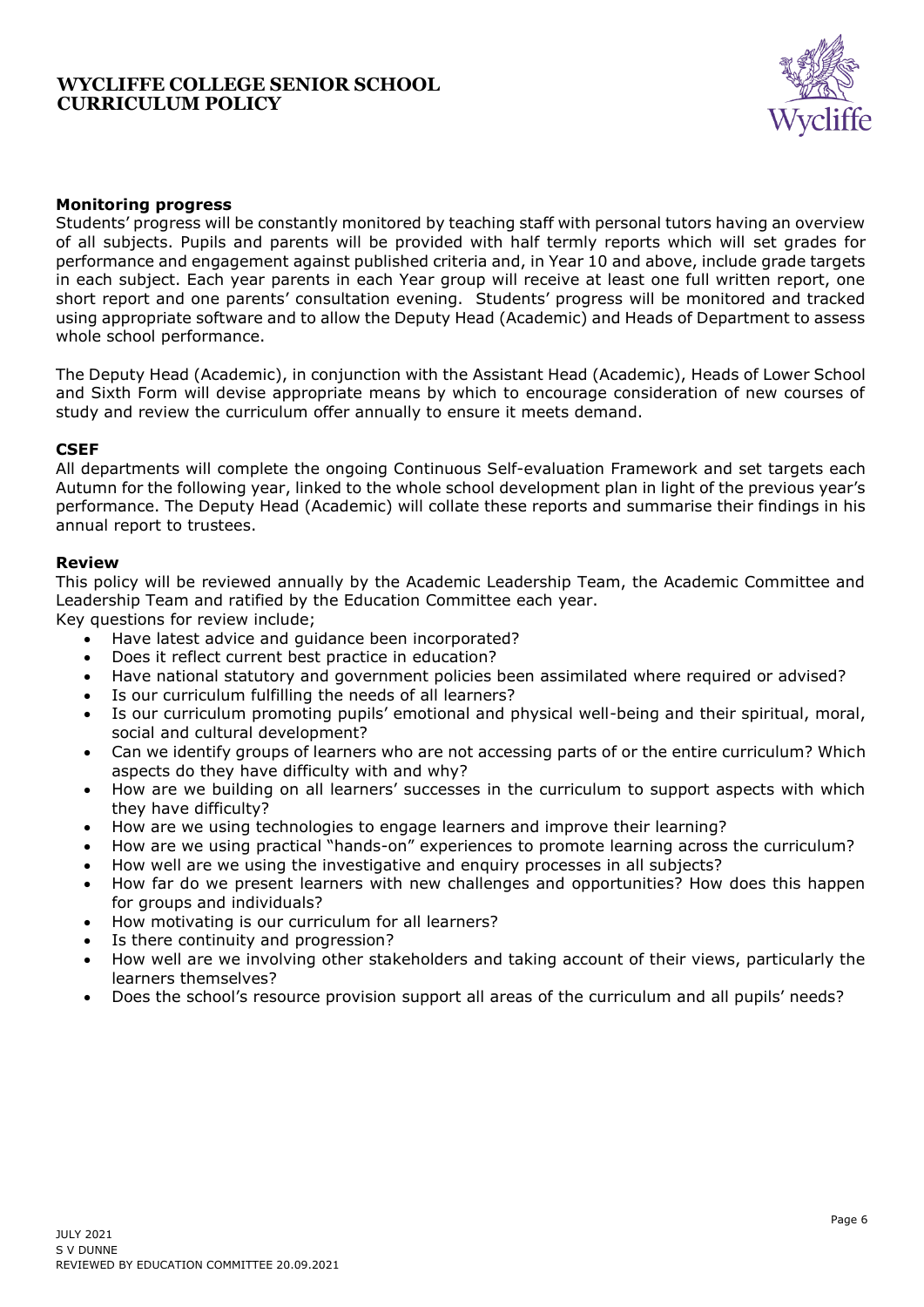

## **Monitoring progress**

Students' progress will be constantly monitored by teaching staff with personal tutors having an overview of all subjects. Pupils and parents will be provided with half termly reports which will set grades for performance and engagement against published criteria and, in Year 10 and above, include grade targets in each subject. Each year parents in each Year group will receive at least one full written report, one short report and one parents' consultation evening. Students' progress will be monitored and tracked using appropriate software and to allow the Deputy Head (Academic) and Heads of Department to assess whole school performance.

The Deputy Head (Academic), in conjunction with the Assistant Head (Academic), Heads of Lower School and Sixth Form will devise appropriate means by which to encourage consideration of new courses of study and review the curriculum offer annually to ensure it meets demand.

### **CSEF**

All departments will complete the ongoing Continuous Self-evaluation Framework and set targets each Autumn for the following year, linked to the whole school development plan in light of the previous year's performance. The Deputy Head (Academic) will collate these reports and summarise their findings in his annual report to trustees.

#### **Review**

This policy will be reviewed annually by the Academic Leadership Team, the Academic Committee and Leadership Team and ratified by the Education Committee each year.

Key questions for review include;

- Have latest advice and guidance been incorporated?
- Does it reflect current best practice in education?
- Have national statutory and government policies been assimilated where required or advised?
- Is our curriculum fulfilling the needs of all learners?
- Is our curriculum promoting pupils' emotional and physical well-being and their spiritual, moral, social and cultural development?
- Can we identify groups of learners who are not accessing parts of or the entire curriculum? Which aspects do they have difficulty with and why?
- How are we building on all learners' successes in the curriculum to support aspects with which they have difficulty?
- How are we using technologies to engage learners and improve their learning?
- How are we using practical "hands-on" experiences to promote learning across the curriculum?
- How well are we using the investigative and enquiry processes in all subjects?
- How far do we present learners with new challenges and opportunities? How does this happen for groups and individuals?
- How motivating is our curriculum for all learners?
- Is there continuity and progression?
- How well are we involving other stakeholders and taking account of their views, particularly the learners themselves?
- Does the school's resource provision support all areas of the curriculum and all pupils' needs?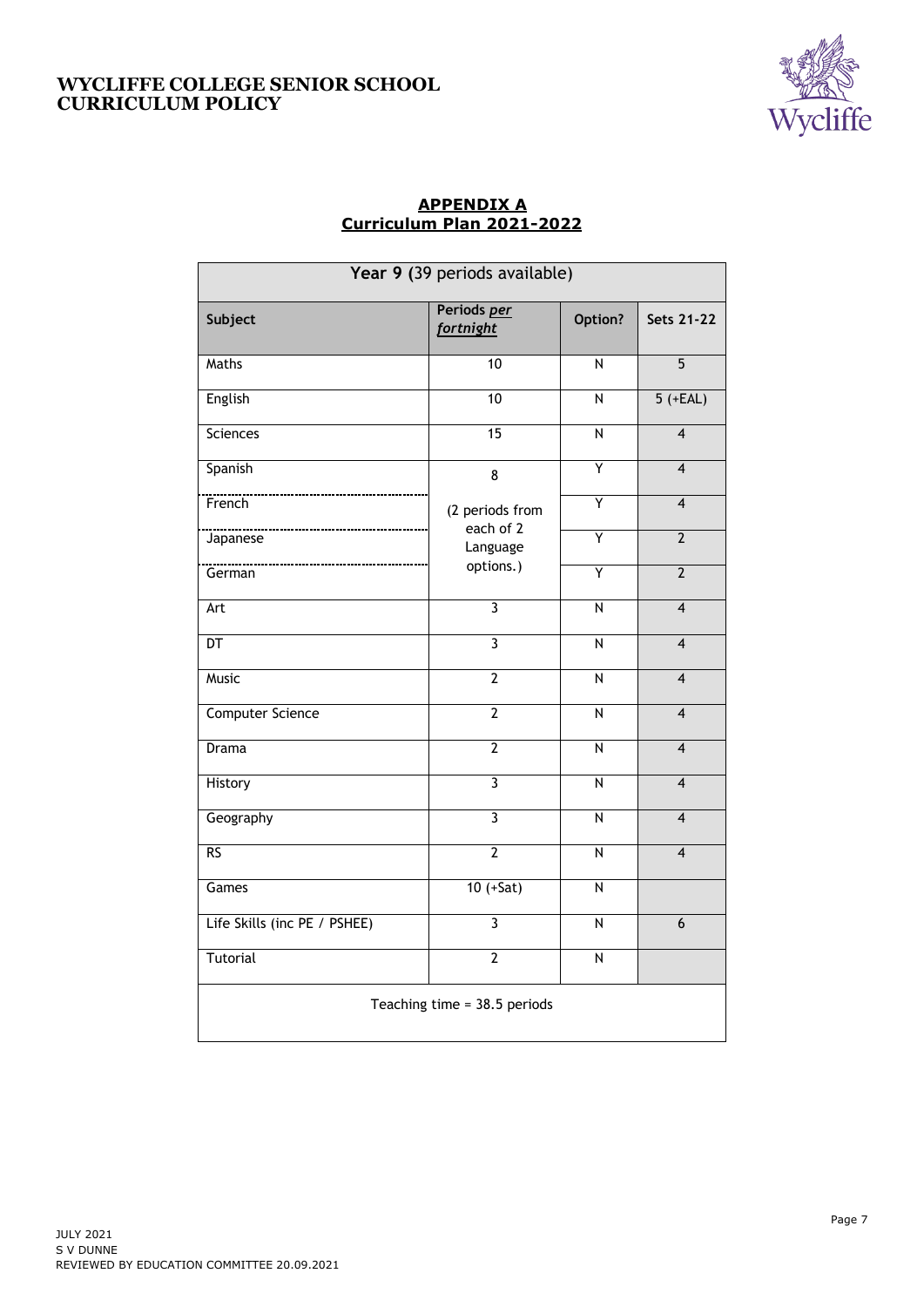

# **APPENDIX A Curriculum Plan 2021-2022**

| Year 9 (39 periods available) |                                 |                         |                         |  |  |  |
|-------------------------------|---------------------------------|-------------------------|-------------------------|--|--|--|
| Subject                       | Periods per<br><b>fortnight</b> | Option?                 | <b>Sets 21-22</b>       |  |  |  |
| Maths                         | 10                              | N                       | $\overline{5}$          |  |  |  |
| English                       | 10                              | $\overline{N}$          | $5 (+EAL)$              |  |  |  |
| <b>Sciences</b>               | $\overline{15}$                 | $\overline{N}$          | $\overline{4}$          |  |  |  |
| Spanish                       | 8                               | Ÿ                       | $\overline{\mathbf{4}}$ |  |  |  |
| French                        | (2 periods from                 | Ÿ                       | $\overline{4}$          |  |  |  |
| Japanese                      | each of 2<br>Language           | Ÿ                       | $\overline{2}$          |  |  |  |
| German                        | options.)                       | Ÿ                       | $\overline{2}$          |  |  |  |
| Art                           | $\overline{\mathbf{3}}$         | $\overline{N}$          | $\overline{4}$          |  |  |  |
| $\overline{DT}$               | $\overline{\mathbf{3}}$         | $\overline{N}$          | $\overline{4}$          |  |  |  |
| <b>Music</b>                  | $\overline{2}$                  | $\overline{\mathsf{N}}$ | $\overline{\mathbf{4}}$ |  |  |  |
| <b>Computer Science</b>       | $\overline{2}$                  | $\overline{N}$          | $\overline{4}$          |  |  |  |
| Drama                         | $\overline{2}$                  | $\overline{N}$          | $\overline{4}$          |  |  |  |
| History                       | $\overline{3}$                  | $\overline{\mathsf{N}}$ | $\overline{\mathbf{4}}$ |  |  |  |
| Geography                     | $\overline{3}$                  | N                       | $\overline{\mathbf{4}}$ |  |  |  |
| RS                            | $\overline{2}$                  | $\overline{N}$          | $\overline{\mathbf{4}}$ |  |  |  |
| Games                         | $10 (+Sat)$                     | N                       |                         |  |  |  |
| Life Skills (inc PE / PSHEE)  | $\overline{\overline{3}}$       | $\overline{\mathsf{N}}$ | $\overline{6}$          |  |  |  |
| Tutorial                      | $\overline{2}$                  | $\overline{N}$          |                         |  |  |  |
| Teaching time = 38.5 periods  |                                 |                         |                         |  |  |  |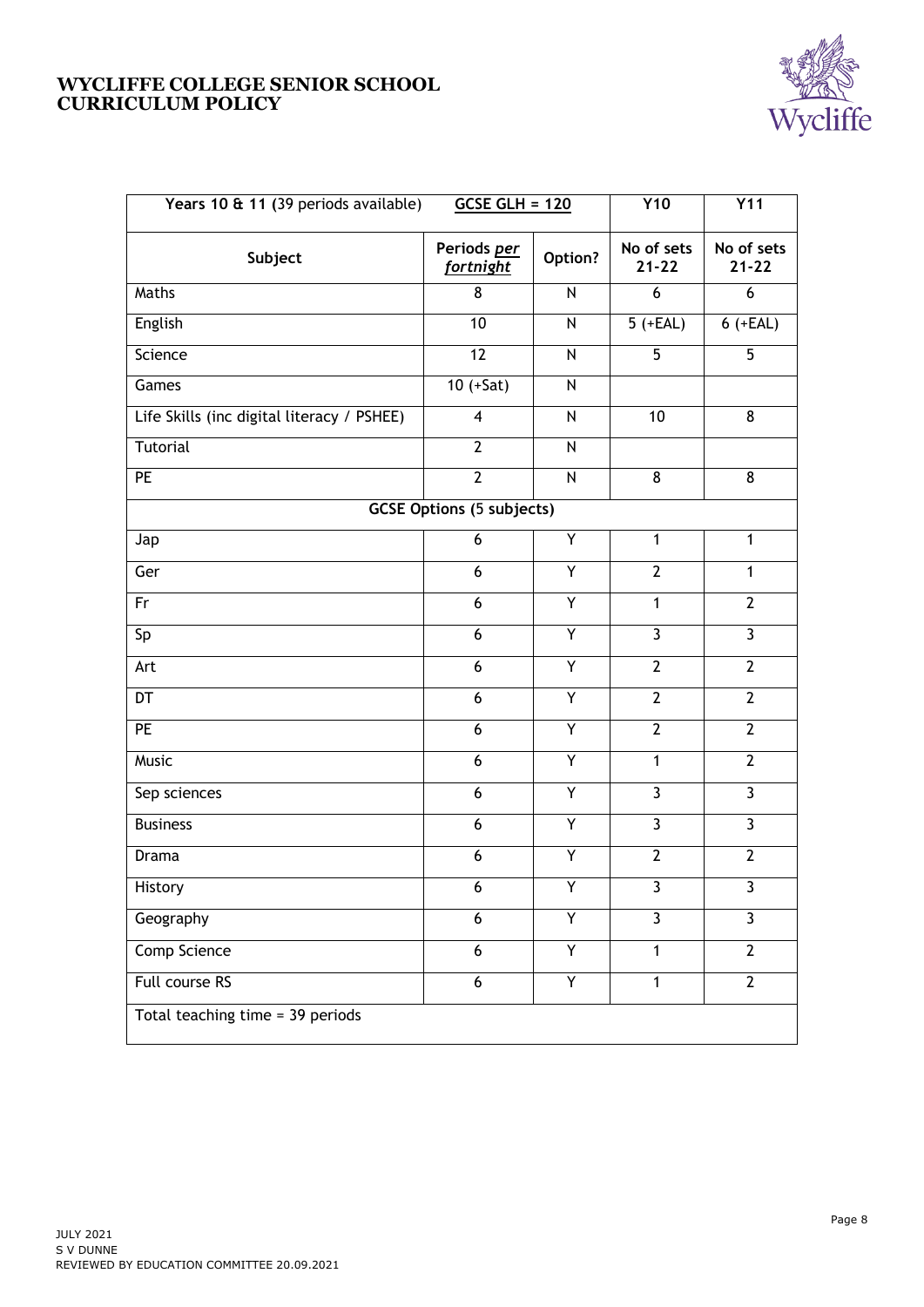

| Years 10 & 11 (39 periods available)       | $GCSE GLH = 120$                 |              | <b>Y10</b>              | <b>Y11</b>              |
|--------------------------------------------|----------------------------------|--------------|-------------------------|-------------------------|
| Subject                                    | Periods per<br><u>fortnight</u>  | Option?      | No of sets<br>$21 - 22$ | No of sets<br>$21 - 22$ |
| Maths                                      | 8                                | N            | 6                       | 6                       |
| English                                    | 10                               | ${\sf N}$    | $5 (+EAL)$              | $6 (+EAL)$              |
| Science                                    | 12                               | ${\sf N}$    | 5                       | 5                       |
| Games                                      | $10 (+Sat)$                      | N            |                         |                         |
| Life Skills (inc digital literacy / PSHEE) | $\overline{\mathbf{4}}$          | N            | 10                      | 8                       |
| Tutorial                                   | $\overline{2}$                   | ${\sf N}$    |                         |                         |
| PE                                         | $\overline{2}$                   | $\mathsf{N}$ | 8                       | 8                       |
|                                            | <b>GCSE Options (5 subjects)</b> |              |                         |                         |
| Jap                                        | 6                                | Υ            | $\mathbf{1}$            | $\mathbf{1}$            |
| Ger                                        | 6                                | Υ            | $\overline{2}$          | $\mathbf{1}$            |
| Fr                                         | 6                                | Υ            | $\mathbf{1}$            | $\overline{2}$          |
| Sp                                         | 6                                | Y            | $\overline{3}$          | $\overline{3}$          |
| Art                                        | 6                                | Y            | $\overline{2}$          | $\overline{2}$          |
| DT                                         | 6                                | Υ            | $\overline{2}$          | $\overline{2}$          |
| PE                                         | 6                                | Y            | $\overline{2}$          | $\overline{2}$          |
| Music                                      | 6                                | Υ            | $\mathbf{1}$            | $\overline{2}$          |
| Sep sciences                               | 6                                | Y            | $\overline{3}$          | 3                       |
| <b>Business</b>                            | 6                                | Υ            | $\overline{3}$          | $\overline{3}$          |
| Drama                                      | 6                                | Y            | $\overline{2}$          | $\overline{2}$          |
| History                                    | 6                                | Y            | 3                       | 3                       |
| Geography                                  | 6                                | Y            | $\overline{\mathbf{3}}$ | $\overline{3}$          |
| Comp Science                               | $\boldsymbol{6}$                 | Υ            | $\mathbf{1}$            | $\overline{2}$          |
| Full course RS                             | $\boldsymbol{6}$                 | Υ            | $\mathbf{1}$            | $\overline{2}$          |
| Total teaching time = 39 periods           |                                  |              |                         |                         |